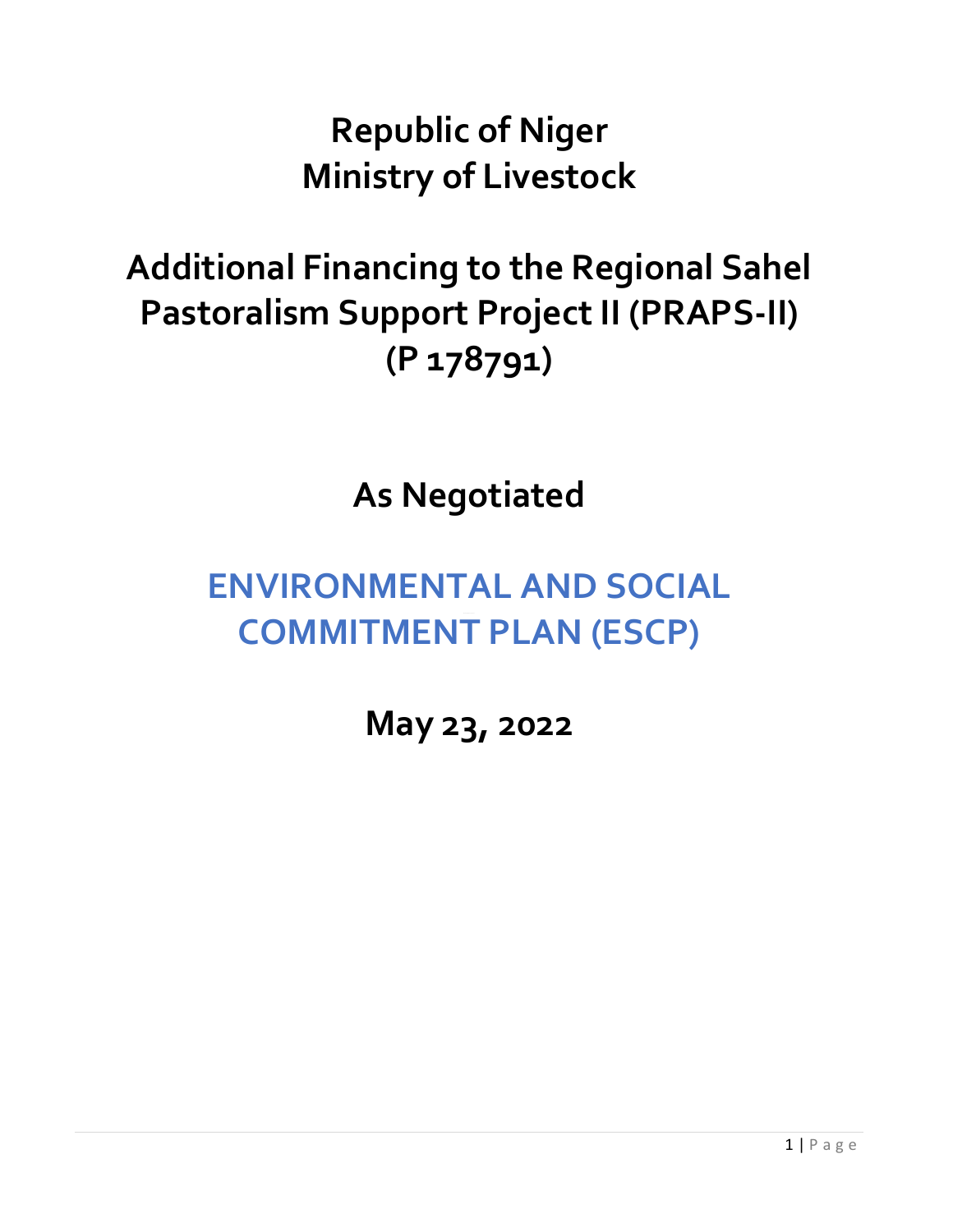**Republic of Niger Ministry of Livestock**

## **Additional Financing to the Regional Sahel Pastoralism Support Project II (PRAPS-II) (P 178791)**

**As Negotiated**

## **ENVIRONMENTAL AND SOCIAL COMMITMENT PLAN (ESCP)**

**May 23, 2022**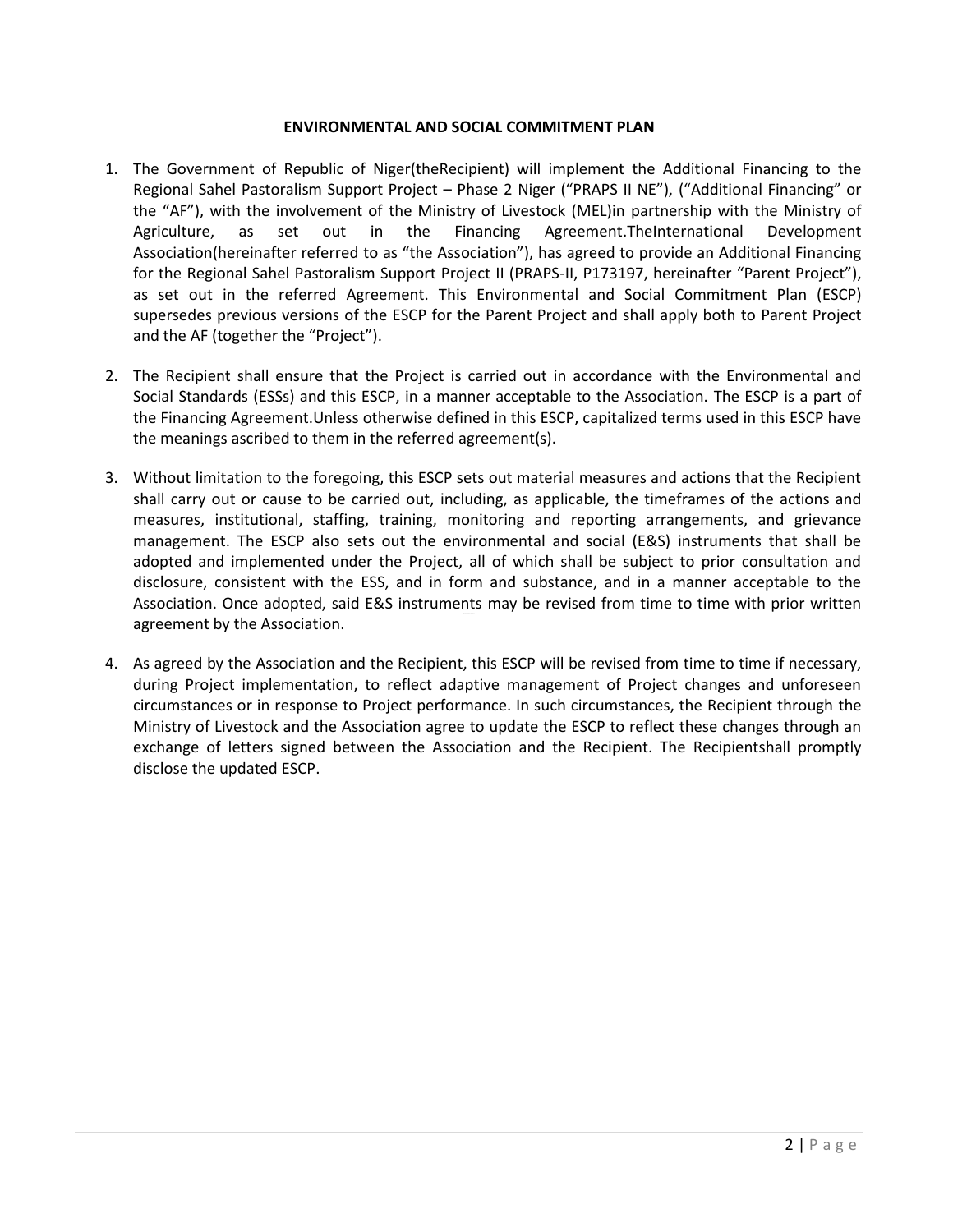## **ENVIRONMENTAL AND SOCIAL COMMITMENT PLAN**

- 1. The Government of Republic of Niger(theRecipient) will implement the Additional Financing to the Regional Sahel Pastoralism Support Project – Phase 2 Niger ("PRAPS II NE"), ("Additional Financing" or the "AF"), with the involvement of the Ministry of Livestock (MEL)in partnership with the Ministry of Agriculture, as set out in the Financing Agreement.TheInternational Development Association(hereinafter referred to as "the Association"), has agreed to provide an Additional Financing for the Regional Sahel Pastoralism Support Project II (PRAPS-II, P173197, hereinafter "Parent Project"), as set out in the referred Agreement. This Environmental and Social Commitment Plan (ESCP) supersedes previous versions of the ESCP for the Parent Project and shall apply both to Parent Project and the AF (together the "Project").
- 2. The Recipient shall ensure that the Project is carried out in accordance with the Environmental and Social Standards (ESSs) and this ESCP, in a manner acceptable to the Association. The ESCP is a part of the Financing Agreement.Unless otherwise defined in this ESCP, capitalized terms used in this ESCP have the meanings ascribed to them in the referred agreement(s).
- 3. Without limitation to the foregoing, this ESCP sets out material measures and actions that the Recipient shall carry out or cause to be carried out, including, as applicable, the timeframes of the actions and measures, institutional, staffing, training, monitoring and reporting arrangements, and grievance management. The ESCP also sets out the environmental and social (E&S) instruments that shall be adopted and implemented under the Project, all of which shall be subject to prior consultation and disclosure, consistent with the ESS, and in form and substance, and in a manner acceptable to the Association. Once adopted, said E&S instruments may be revised from time to time with prior written agreement by the Association.
- 4. As agreed by the Association and the Recipient, this ESCP will be revised from time to time if necessary, during Project implementation, to reflect adaptive management of Project changes and unforeseen circumstances or in response to Project performance. In such circumstances, the Recipient through the Ministry of Livestock and the Association agree to update the ESCP to reflect these changes through an exchange of letters signed between the Association and the Recipient. The Recipientshall promptly disclose the updated ESCP.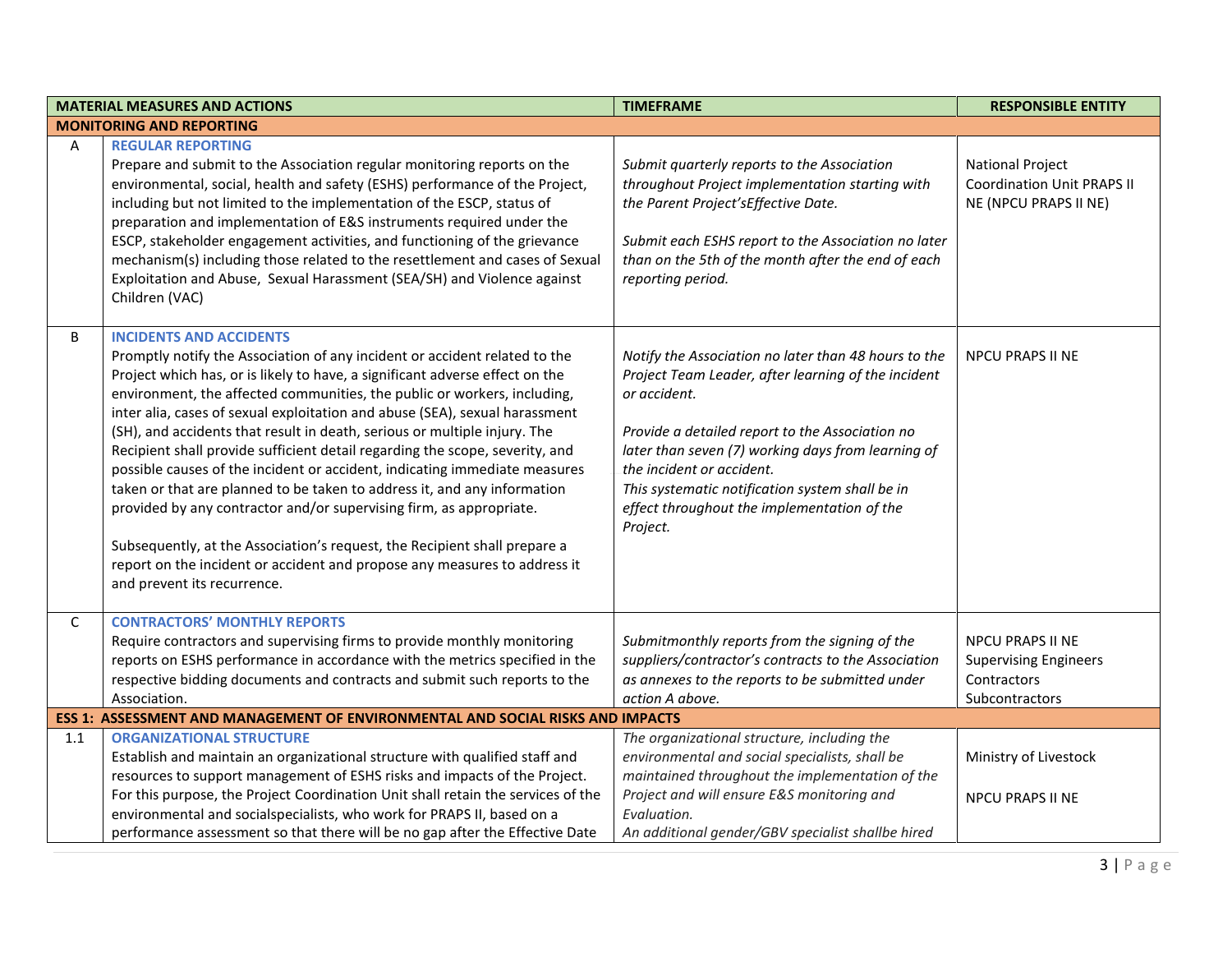|     | <b>MATERIAL MEASURES AND ACTIONS</b>                                                                                                                                                                                                                                                                                                                                                                                                                                                                                                                                                                                                                                                                                                                                                                                                                                                                                                           | <b>TIMEFRAME</b>                                                                                                                                                                                                                                                                                                                                                                | <b>RESPONSIBLE ENTITY</b>                                                             |
|-----|------------------------------------------------------------------------------------------------------------------------------------------------------------------------------------------------------------------------------------------------------------------------------------------------------------------------------------------------------------------------------------------------------------------------------------------------------------------------------------------------------------------------------------------------------------------------------------------------------------------------------------------------------------------------------------------------------------------------------------------------------------------------------------------------------------------------------------------------------------------------------------------------------------------------------------------------|---------------------------------------------------------------------------------------------------------------------------------------------------------------------------------------------------------------------------------------------------------------------------------------------------------------------------------------------------------------------------------|---------------------------------------------------------------------------------------|
|     | <b>MONITORING AND REPORTING</b>                                                                                                                                                                                                                                                                                                                                                                                                                                                                                                                                                                                                                                                                                                                                                                                                                                                                                                                |                                                                                                                                                                                                                                                                                                                                                                                 |                                                                                       |
| Α   | <b>REGULAR REPORTING</b><br>Prepare and submit to the Association regular monitoring reports on the<br>environmental, social, health and safety (ESHS) performance of the Project,<br>including but not limited to the implementation of the ESCP, status of<br>preparation and implementation of E&S instruments required under the<br>ESCP, stakeholder engagement activities, and functioning of the grievance<br>mechanism(s) including those related to the resettlement and cases of Sexual<br>Exploitation and Abuse, Sexual Harassment (SEA/SH) and Violence against<br>Children (VAC)                                                                                                                                                                                                                                                                                                                                                 | Submit quarterly reports to the Association<br>throughout Project implementation starting with<br>the Parent Project'sEffective Date.<br>Submit each ESHS report to the Association no later<br>than on the 5th of the month after the end of each<br>reporting period.                                                                                                         | <b>National Project</b><br><b>Coordination Unit PRAPS II</b><br>NE (NPCU PRAPS II NE) |
| B   | <b>INCIDENTS AND ACCIDENTS</b><br>Promptly notify the Association of any incident or accident related to the<br>Project which has, or is likely to have, a significant adverse effect on the<br>environment, the affected communities, the public or workers, including,<br>inter alia, cases of sexual exploitation and abuse (SEA), sexual harassment<br>(SH), and accidents that result in death, serious or multiple injury. The<br>Recipient shall provide sufficient detail regarding the scope, severity, and<br>possible causes of the incident or accident, indicating immediate measures<br>taken or that are planned to be taken to address it, and any information<br>provided by any contractor and/or supervising firm, as appropriate.<br>Subsequently, at the Association's request, the Recipient shall prepare a<br>report on the incident or accident and propose any measures to address it<br>and prevent its recurrence. | Notify the Association no later than 48 hours to the<br>Project Team Leader, after learning of the incident<br>or accident.<br>Provide a detailed report to the Association no<br>later than seven (7) working days from learning of<br>the incident or accident.<br>This systematic notification system shall be in<br>effect throughout the implementation of the<br>Project. | <b>NPCU PRAPS II NE</b>                                                               |
| C   | <b>CONTRACTORS' MONTHLY REPORTS</b><br>Require contractors and supervising firms to provide monthly monitoring<br>reports on ESHS performance in accordance with the metrics specified in the<br>respective bidding documents and contracts and submit such reports to the<br>Association.                                                                                                                                                                                                                                                                                                                                                                                                                                                                                                                                                                                                                                                     | Submitmonthly reports from the signing of the<br>suppliers/contractor's contracts to the Association<br>as annexes to the reports to be submitted under<br>action A above.                                                                                                                                                                                                      | NPCU PRAPS II NE<br><b>Supervising Engineers</b><br>Contractors<br>Subcontractors     |
|     | ESS 1: ASSESSMENT AND MANAGEMENT OF ENVIRONMENTAL AND SOCIAL RISKS AND IMPACTS                                                                                                                                                                                                                                                                                                                                                                                                                                                                                                                                                                                                                                                                                                                                                                                                                                                                 |                                                                                                                                                                                                                                                                                                                                                                                 |                                                                                       |
| 1.1 | <b>ORGANIZATIONAL STRUCTURE</b><br>Establish and maintain an organizational structure with qualified staff and<br>resources to support management of ESHS risks and impacts of the Project.<br>For this purpose, the Project Coordination Unit shall retain the services of the<br>environmental and socialspecialists, who work for PRAPS II, based on a                                                                                                                                                                                                                                                                                                                                                                                                                                                                                                                                                                                      | The organizational structure, including the<br>environmental and social specialists, shall be<br>maintained throughout the implementation of the<br>Project and will ensure E&S monitoring and<br>Evaluation.                                                                                                                                                                   | Ministry of Livestock<br><b>NPCU PRAPS II NE</b>                                      |
|     | performance assessment so that there will be no gap after the Effective Date                                                                                                                                                                                                                                                                                                                                                                                                                                                                                                                                                                                                                                                                                                                                                                                                                                                                   | An additional gender/GBV specialist shallbe hired                                                                                                                                                                                                                                                                                                                               |                                                                                       |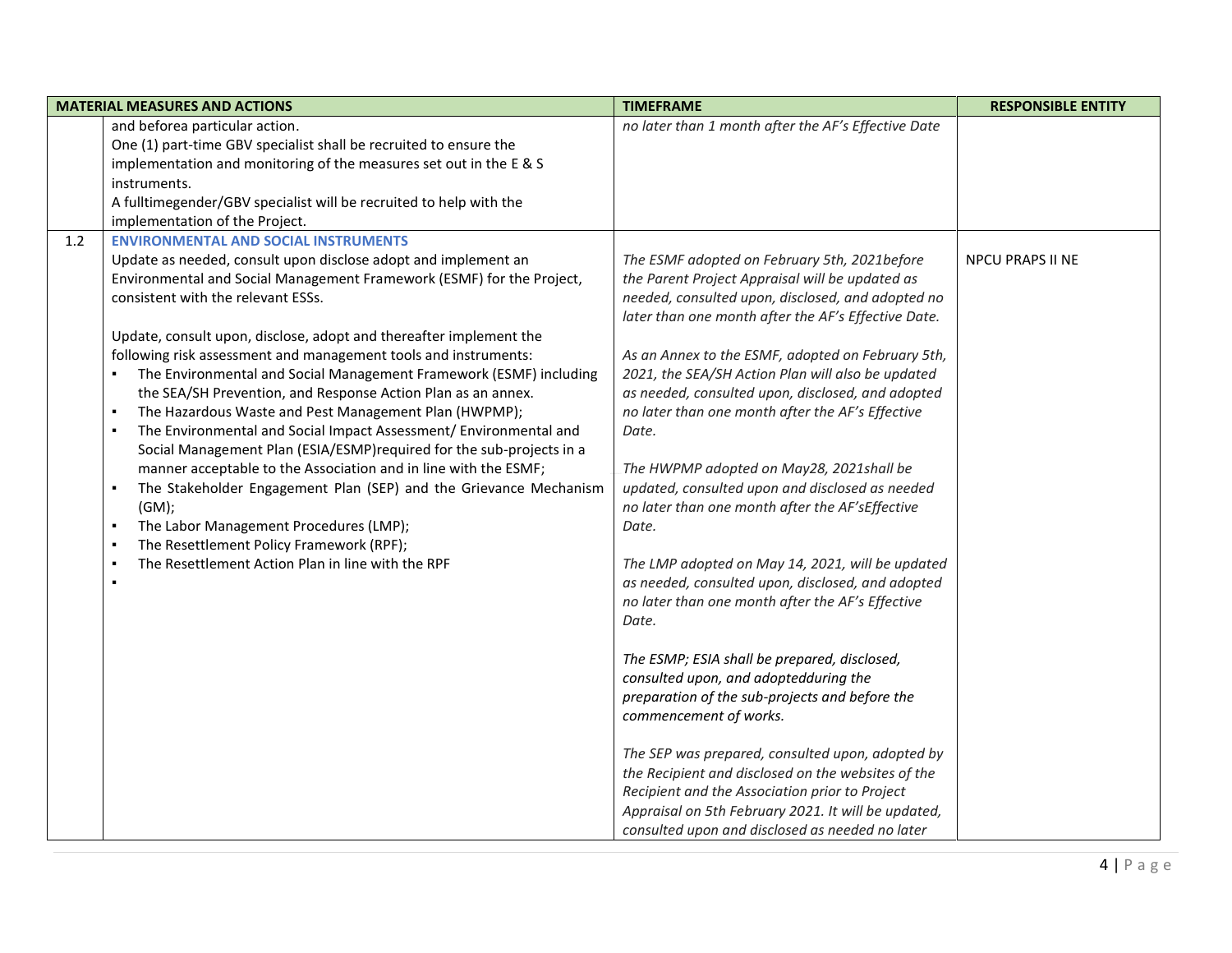|     | <b>MATERIAL MEASURES AND ACTIONS</b>                                                                                                                                                                                                                                                                                                                                                                                                                                                                                                                                                                                                                                                                                                                                                                                                                                                                                                                                                                                                                                        | <b>TIMEFRAME</b>                                                                                                                                                                                                                                                                                                                                                                                                                                                                                                                                                                                                                                                                                                                                                                                                                                                                                                                                                                                                                                                                                                                                                                                                    | <b>RESPONSIBLE ENTITY</b> |
|-----|-----------------------------------------------------------------------------------------------------------------------------------------------------------------------------------------------------------------------------------------------------------------------------------------------------------------------------------------------------------------------------------------------------------------------------------------------------------------------------------------------------------------------------------------------------------------------------------------------------------------------------------------------------------------------------------------------------------------------------------------------------------------------------------------------------------------------------------------------------------------------------------------------------------------------------------------------------------------------------------------------------------------------------------------------------------------------------|---------------------------------------------------------------------------------------------------------------------------------------------------------------------------------------------------------------------------------------------------------------------------------------------------------------------------------------------------------------------------------------------------------------------------------------------------------------------------------------------------------------------------------------------------------------------------------------------------------------------------------------------------------------------------------------------------------------------------------------------------------------------------------------------------------------------------------------------------------------------------------------------------------------------------------------------------------------------------------------------------------------------------------------------------------------------------------------------------------------------------------------------------------------------------------------------------------------------|---------------------------|
|     | and beforea particular action.<br>One (1) part-time GBV specialist shall be recruited to ensure the<br>implementation and monitoring of the measures set out in the E & S<br>instruments.<br>A fulltimegender/GBV specialist will be recruited to help with the<br>implementation of the Project.<br><b>ENVIRONMENTAL AND SOCIAL INSTRUMENTS</b>                                                                                                                                                                                                                                                                                                                                                                                                                                                                                                                                                                                                                                                                                                                            | no later than 1 month after the AF's Effective Date                                                                                                                                                                                                                                                                                                                                                                                                                                                                                                                                                                                                                                                                                                                                                                                                                                                                                                                                                                                                                                                                                                                                                                 |                           |
| 1.2 | Update as needed, consult upon disclose adopt and implement an<br>Environmental and Social Management Framework (ESMF) for the Project,<br>consistent with the relevant ESSs.<br>Update, consult upon, disclose, adopt and thereafter implement the<br>following risk assessment and management tools and instruments:<br>The Environmental and Social Management Framework (ESMF) including<br>the SEA/SH Prevention, and Response Action Plan as an annex.<br>The Hazardous Waste and Pest Management Plan (HWPMP);<br>$\blacksquare$<br>The Environmental and Social Impact Assessment/ Environmental and<br>$\blacksquare$<br>Social Management Plan (ESIA/ESMP) required for the sub-projects in a<br>manner acceptable to the Association and in line with the ESMF;<br>The Stakeholder Engagement Plan (SEP) and the Grievance Mechanism<br>$\blacksquare$<br>(GM);<br>The Labor Management Procedures (LMP);<br>$\blacksquare$<br>The Resettlement Policy Framework (RPF);<br>$\blacksquare$<br>The Resettlement Action Plan in line with the RPF<br>$\blacksquare$ | The ESMF adopted on February 5th, 2021before<br>the Parent Project Appraisal will be updated as<br>needed, consulted upon, disclosed, and adopted no<br>later than one month after the AF's Effective Date.<br>As an Annex to the ESMF, adopted on February 5th,<br>2021, the SEA/SH Action Plan will also be updated<br>as needed, consulted upon, disclosed, and adopted<br>no later than one month after the AF's Effective<br>Date.<br>The HWPMP adopted on May28, 2021shall be<br>updated, consulted upon and disclosed as needed<br>no later than one month after the AF'sEffective<br>Date.<br>The LMP adopted on May 14, 2021, will be updated<br>as needed, consulted upon, disclosed, and adopted<br>no later than one month after the AF's Effective<br>Date.<br>The ESMP; ESIA shall be prepared, disclosed,<br>consulted upon, and adoptedduring the<br>preparation of the sub-projects and before the<br>commencement of works.<br>The SEP was prepared, consulted upon, adopted by<br>the Recipient and disclosed on the websites of the<br>Recipient and the Association prior to Project<br>Appraisal on 5th February 2021. It will be updated,<br>consulted upon and disclosed as needed no later | <b>NPCU PRAPS II NE</b>   |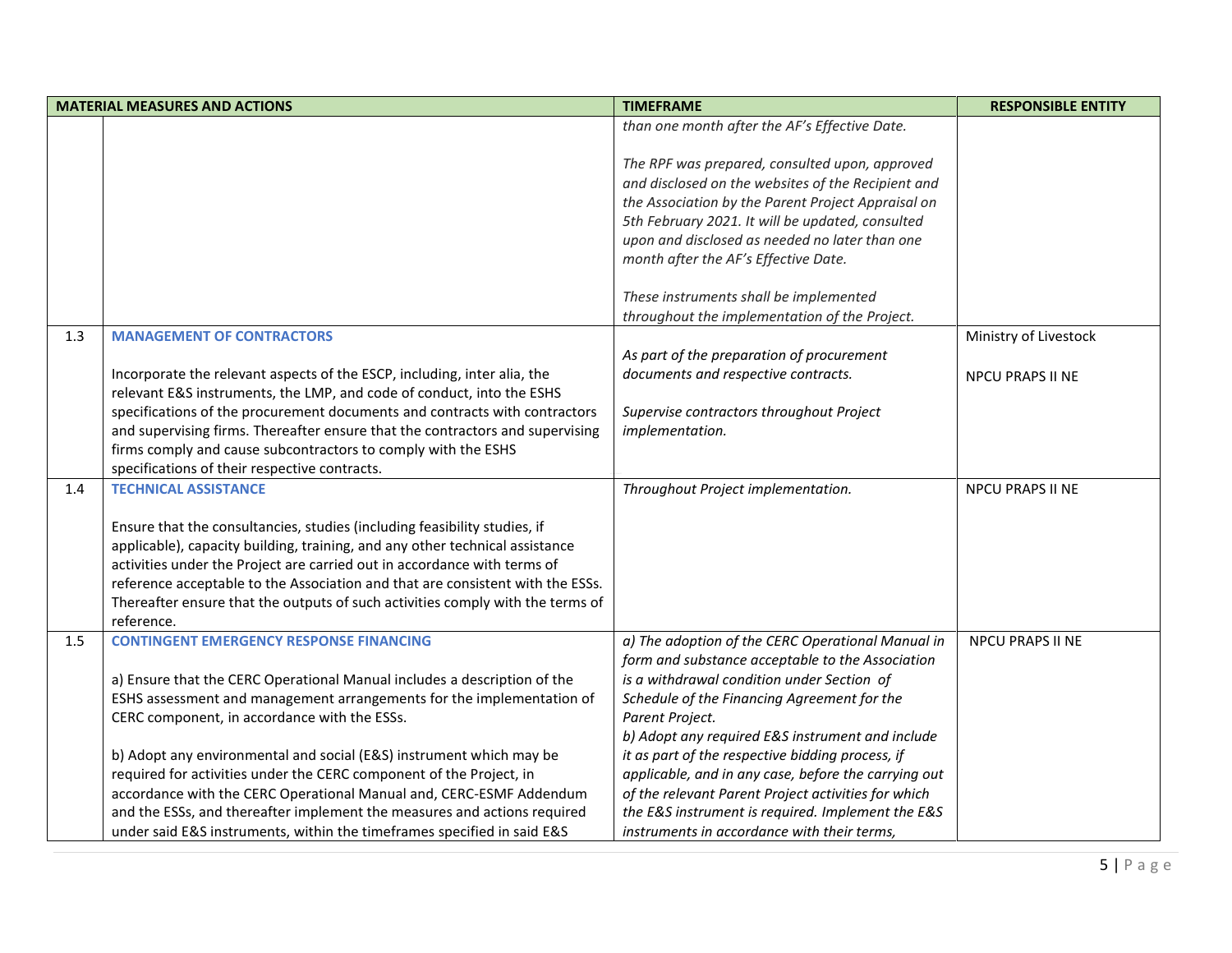|     | <b>MATERIAL MEASURES AND ACTIONS</b>                                           | <b>TIMEFRAME</b>                                     | <b>RESPONSIBLE ENTITY</b> |
|-----|--------------------------------------------------------------------------------|------------------------------------------------------|---------------------------|
|     |                                                                                | than one month after the AF's Effective Date.        |                           |
|     |                                                                                |                                                      |                           |
|     |                                                                                | The RPF was prepared, consulted upon, approved       |                           |
|     |                                                                                | and disclosed on the websites of the Recipient and   |                           |
|     |                                                                                | the Association by the Parent Project Appraisal on   |                           |
|     |                                                                                | 5th February 2021. It will be updated, consulted     |                           |
|     |                                                                                | upon and disclosed as needed no later than one       |                           |
|     |                                                                                | month after the AF's Effective Date.                 |                           |
|     |                                                                                |                                                      |                           |
|     |                                                                                | These instruments shall be implemented               |                           |
|     |                                                                                | throughout the implementation of the Project.        |                           |
| 1.3 | <b>MANAGEMENT OF CONTRACTORS</b>                                               |                                                      | Ministry of Livestock     |
|     |                                                                                | As part of the preparation of procurement            |                           |
|     | Incorporate the relevant aspects of the ESCP, including, inter alia, the       | documents and respective contracts.                  | <b>NPCU PRAPS II NE</b>   |
|     | relevant E&S instruments, the LMP, and code of conduct, into the ESHS          |                                                      |                           |
|     | specifications of the procurement documents and contracts with contractors     | Supervise contractors throughout Project             |                           |
|     | and supervising firms. Thereafter ensure that the contractors and supervising  | implementation.                                      |                           |
|     | firms comply and cause subcontractors to comply with the ESHS                  |                                                      |                           |
|     | specifications of their respective contracts.                                  |                                                      |                           |
| 1.4 | <b>TECHNICAL ASSISTANCE</b>                                                    | Throughout Project implementation.                   | <b>NPCU PRAPS II NE</b>   |
|     |                                                                                |                                                      |                           |
|     | Ensure that the consultancies, studies (including feasibility studies, if      |                                                      |                           |
|     | applicable), capacity building, training, and any other technical assistance   |                                                      |                           |
|     | activities under the Project are carried out in accordance with terms of       |                                                      |                           |
|     | reference acceptable to the Association and that are consistent with the ESSs. |                                                      |                           |
|     | Thereafter ensure that the outputs of such activities comply with the terms of |                                                      |                           |
|     | reference.                                                                     |                                                      |                           |
| 1.5 | <b>CONTINGENT EMERGENCY RESPONSE FINANCING</b>                                 | a) The adoption of the CERC Operational Manual in    | <b>NPCU PRAPS II NE</b>   |
|     |                                                                                | form and substance acceptable to the Association     |                           |
|     | a) Ensure that the CERC Operational Manual includes a description of the       | is a withdrawal condition under Section of           |                           |
|     | ESHS assessment and management arrangements for the implementation of          | Schedule of the Financing Agreement for the          |                           |
|     | CERC component, in accordance with the ESSs.                                   | Parent Project.                                      |                           |
|     |                                                                                | b) Adopt any required E&S instrument and include     |                           |
|     | b) Adopt any environmental and social (E&S) instrument which may be            | it as part of the respective bidding process, if     |                           |
|     | required for activities under the CERC component of the Project, in            | applicable, and in any case, before the carrying out |                           |
|     | accordance with the CERC Operational Manual and, CERC-ESMF Addendum            | of the relevant Parent Project activities for which  |                           |
|     | and the ESSs, and thereafter implement the measures and actions required       | the E&S instrument is required. Implement the E&S    |                           |
|     | under said E&S instruments, within the timeframes specified in said E&S        | instruments in accordance with their terms,          |                           |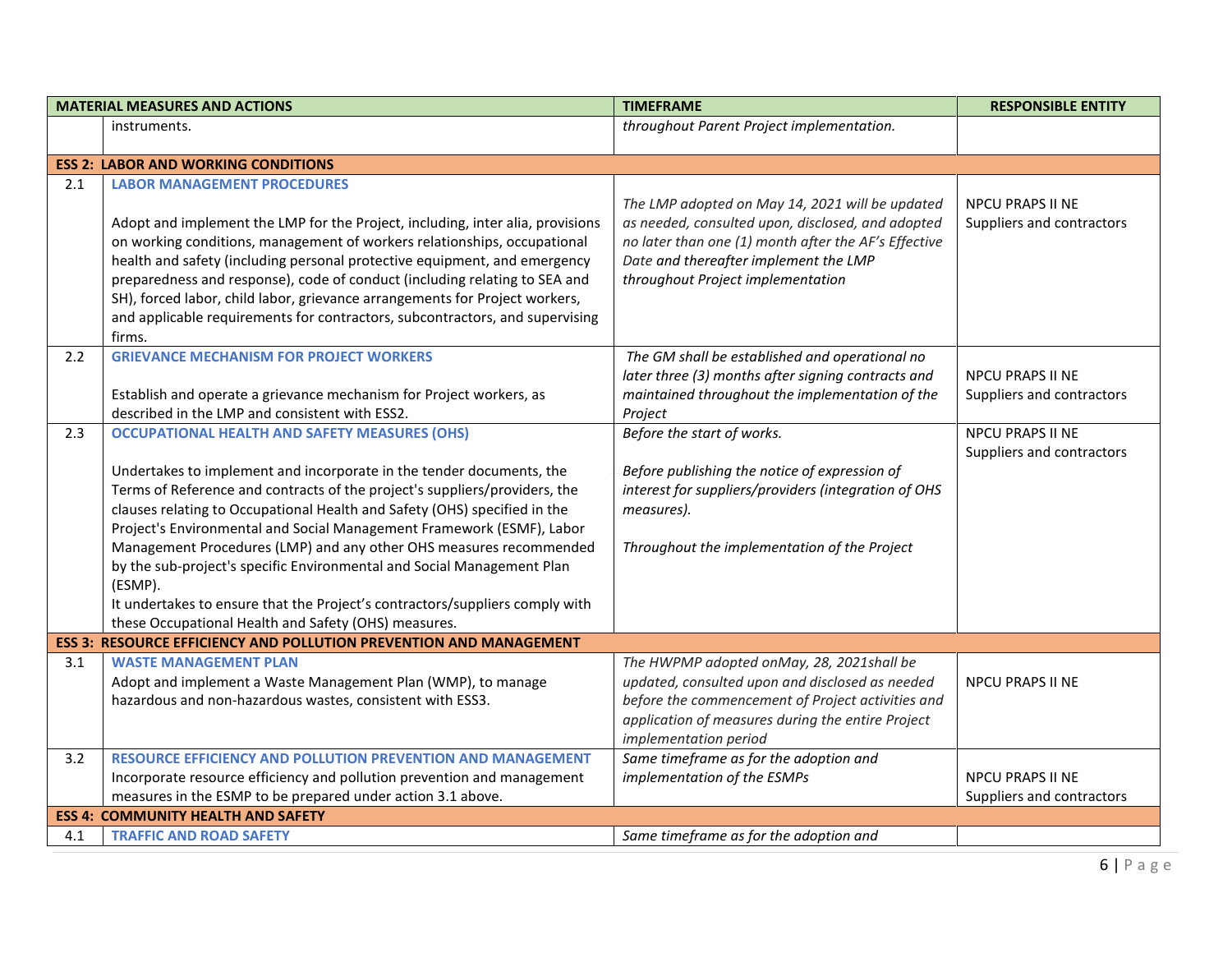|     | <b>MATERIAL MEASURES AND ACTIONS</b>                                                                                                                                                                                                                                                                                                                                                                                                                                                                                                                                                                                                                                | <b>TIMEFRAME</b>                                                                                                                                                                                                                           | <b>RESPONSIBLE ENTITY</b>                            |
|-----|---------------------------------------------------------------------------------------------------------------------------------------------------------------------------------------------------------------------------------------------------------------------------------------------------------------------------------------------------------------------------------------------------------------------------------------------------------------------------------------------------------------------------------------------------------------------------------------------------------------------------------------------------------------------|--------------------------------------------------------------------------------------------------------------------------------------------------------------------------------------------------------------------------------------------|------------------------------------------------------|
|     | instruments.                                                                                                                                                                                                                                                                                                                                                                                                                                                                                                                                                                                                                                                        | throughout Parent Project implementation.                                                                                                                                                                                                  |                                                      |
|     |                                                                                                                                                                                                                                                                                                                                                                                                                                                                                                                                                                                                                                                                     |                                                                                                                                                                                                                                            |                                                      |
|     | <b>ESS 2: LABOR AND WORKING CONDITIONS</b>                                                                                                                                                                                                                                                                                                                                                                                                                                                                                                                                                                                                                          |                                                                                                                                                                                                                                            |                                                      |
| 2.1 | <b>LABOR MANAGEMENT PROCEDURES</b><br>Adopt and implement the LMP for the Project, including, inter alia, provisions<br>on working conditions, management of workers relationships, occupational<br>health and safety (including personal protective equipment, and emergency<br>preparedness and response), code of conduct (including relating to SEA and<br>SH), forced labor, child labor, grievance arrangements for Project workers,<br>and applicable requirements for contractors, subcontractors, and supervising<br>firms.                                                                                                                                | The LMP adopted on May 14, 2021 will be updated<br>as needed, consulted upon, disclosed, and adopted<br>no later than one (1) month after the AF's Effective<br>Date and thereafter implement the LMP<br>throughout Project implementation | <b>NPCU PRAPS II NE</b><br>Suppliers and contractors |
| 2.2 | <b>GRIEVANCE MECHANISM FOR PROJECT WORKERS</b><br>Establish and operate a grievance mechanism for Project workers, as<br>described in the LMP and consistent with ESS2.                                                                                                                                                                                                                                                                                                                                                                                                                                                                                             | The GM shall be established and operational no<br>later three (3) months after signing contracts and<br>maintained throughout the implementation of the<br>Project                                                                         | <b>NPCU PRAPS II NE</b><br>Suppliers and contractors |
| 2.3 | <b>OCCUPATIONAL HEALTH AND SAFETY MEASURES (OHS)</b><br>Undertakes to implement and incorporate in the tender documents, the<br>Terms of Reference and contracts of the project's suppliers/providers, the<br>clauses relating to Occupational Health and Safety (OHS) specified in the<br>Project's Environmental and Social Management Framework (ESMF), Labor<br>Management Procedures (LMP) and any other OHS measures recommended<br>by the sub-project's specific Environmental and Social Management Plan<br>(ESMP).<br>It undertakes to ensure that the Project's contractors/suppliers comply with<br>these Occupational Health and Safety (OHS) measures. | Before the start of works.<br>Before publishing the notice of expression of<br>interest for suppliers/providers (integration of OHS<br>measures).<br>Throughout the implementation of the Project                                          | NPCU PRAPS II NE<br>Suppliers and contractors        |
|     | <b>ESS 3: RESOURCE EFFICIENCY AND POLLUTION PREVENTION AND MANAGEMENT</b>                                                                                                                                                                                                                                                                                                                                                                                                                                                                                                                                                                                           |                                                                                                                                                                                                                                            |                                                      |
| 3.1 | <b>WASTE MANAGEMENT PLAN</b><br>Adopt and implement a Waste Management Plan (WMP), to manage<br>hazardous and non-hazardous wastes, consistent with ESS3.                                                                                                                                                                                                                                                                                                                                                                                                                                                                                                           | The HWPMP adopted onMay, 28, 2021shall be<br>updated, consulted upon and disclosed as needed<br>before the commencement of Project activities and<br>application of measures during the entire Project<br>implementation period            | <b>NPCU PRAPS II NE</b>                              |
| 3.2 | <b>RESOURCE EFFICIENCY AND POLLUTION PREVENTION AND MANAGEMENT</b><br>Incorporate resource efficiency and pollution prevention and management<br>measures in the ESMP to be prepared under action 3.1 above.                                                                                                                                                                                                                                                                                                                                                                                                                                                        | Same timeframe as for the adoption and<br>implementation of the ESMPs                                                                                                                                                                      | NPCU PRAPS II NE<br>Suppliers and contractors        |
|     | <b>ESS 4: COMMUNITY HEALTH AND SAFETY</b>                                                                                                                                                                                                                                                                                                                                                                                                                                                                                                                                                                                                                           |                                                                                                                                                                                                                                            |                                                      |
| 4.1 | <b>TRAFFIC AND ROAD SAFETY</b>                                                                                                                                                                                                                                                                                                                                                                                                                                                                                                                                                                                                                                      | Same timeframe as for the adoption and                                                                                                                                                                                                     |                                                      |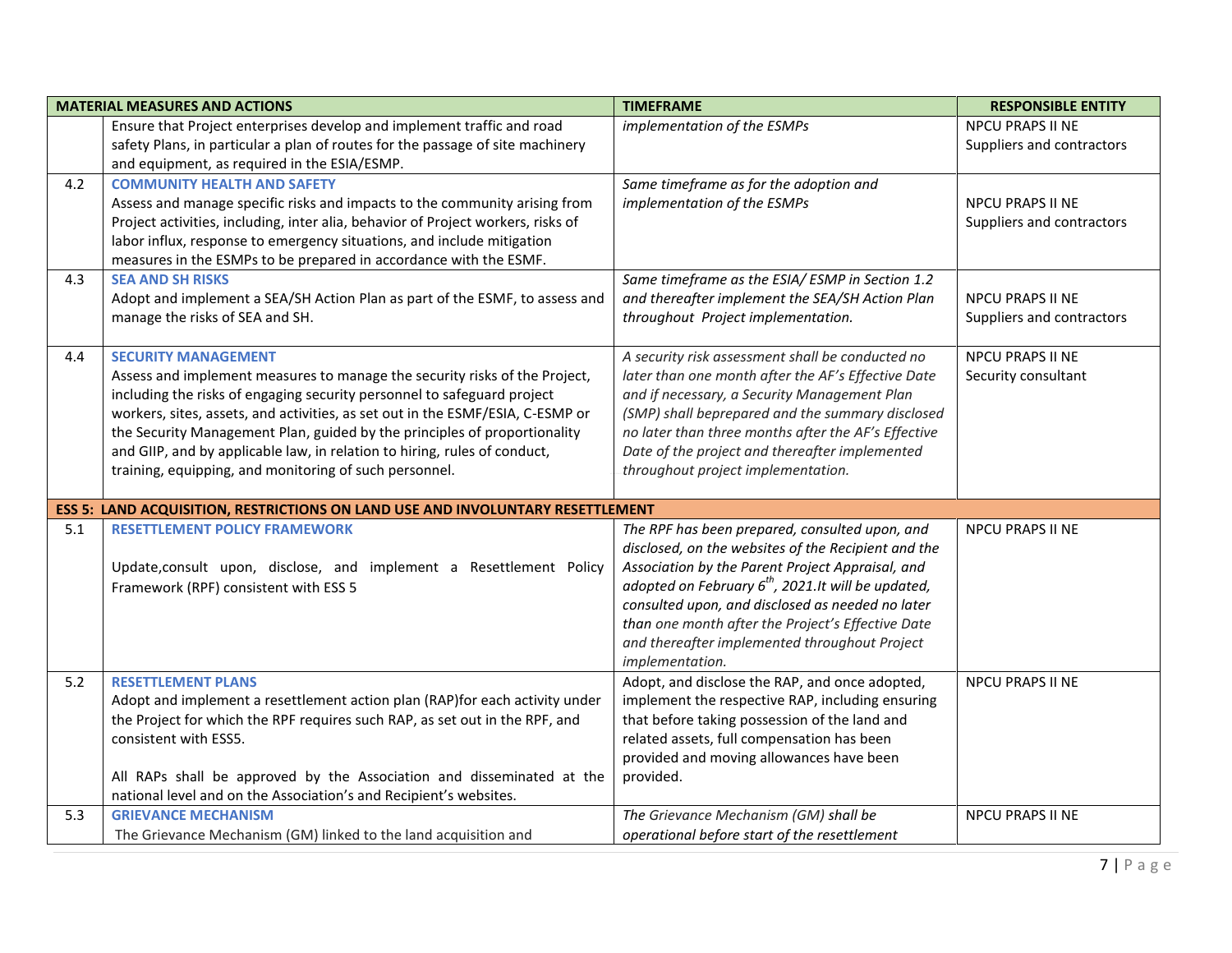|     | <b>MATERIAL MEASURES AND ACTIONS</b>                                                  | <b>TIMEFRAME</b>                                     | <b>RESPONSIBLE ENTITY</b> |
|-----|---------------------------------------------------------------------------------------|------------------------------------------------------|---------------------------|
|     | Ensure that Project enterprises develop and implement traffic and road                | implementation of the ESMPs                          | <b>NPCU PRAPS II NE</b>   |
|     | safety Plans, in particular a plan of routes for the passage of site machinery        |                                                      | Suppliers and contractors |
|     | and equipment, as required in the ESIA/ESMP.                                          |                                                      |                           |
| 4.2 | <b>COMMUNITY HEALTH AND SAFETY</b>                                                    | Same timeframe as for the adoption and               |                           |
|     | Assess and manage specific risks and impacts to the community arising from            | implementation of the ESMPs                          | <b>NPCU PRAPS II NE</b>   |
|     | Project activities, including, inter alia, behavior of Project workers, risks of      |                                                      | Suppliers and contractors |
|     | labor influx, response to emergency situations, and include mitigation                |                                                      |                           |
|     | measures in the ESMPs to be prepared in accordance with the ESMF.                     |                                                      |                           |
| 4.3 | <b>SEA AND SH RISKS</b>                                                               | Same timeframe as the ESIA/ ESMP in Section 1.2      |                           |
|     | Adopt and implement a SEA/SH Action Plan as part of the ESMF, to assess and           | and thereafter implement the SEA/SH Action Plan      | <b>NPCU PRAPS II NE</b>   |
|     | manage the risks of SEA and SH.                                                       | throughout Project implementation.                   | Suppliers and contractors |
|     |                                                                                       |                                                      |                           |
| 4.4 | <b>SECURITY MANAGEMENT</b>                                                            | A security risk assessment shall be conducted no     | <b>NPCU PRAPS II NE</b>   |
|     | Assess and implement measures to manage the security risks of the Project,            | later than one month after the AF's Effective Date   | Security consultant       |
|     | including the risks of engaging security personnel to safeguard project               | and if necessary, a Security Management Plan         |                           |
|     | workers, sites, assets, and activities, as set out in the ESMF/ESIA, C-ESMP or        | (SMP) shall beprepared and the summary disclosed     |                           |
|     | the Security Management Plan, guided by the principles of proportionality             | no later than three months after the AF's Effective  |                           |
|     | and GIIP, and by applicable law, in relation to hiring, rules of conduct,             | Date of the project and thereafter implemented       |                           |
|     | training, equipping, and monitoring of such personnel.                                | throughout project implementation.                   |                           |
|     |                                                                                       |                                                      |                           |
|     | <b>ESS 5: LAND ACQUISITION, RESTRICTIONS ON LAND USE AND INVOLUNTARY RESETTLEMENT</b> |                                                      |                           |
| 5.1 | <b>RESETTLEMENT POLICY FRAMEWORK</b>                                                  | The RPF has been prepared, consulted upon, and       | <b>NPCU PRAPS II NE</b>   |
|     |                                                                                       | disclosed, on the websites of the Recipient and the  |                           |
|     | Update, consult upon, disclose, and implement a Resettlement Policy                   | Association by the Parent Project Appraisal, and     |                           |
|     | Framework (RPF) consistent with ESS 5                                                 | adopted on February $6th$ , 2021.It will be updated, |                           |
|     |                                                                                       | consulted upon, and disclosed as needed no later     |                           |
|     |                                                                                       | than one month after the Project's Effective Date    |                           |
|     |                                                                                       | and thereafter implemented throughout Project        |                           |
|     |                                                                                       | implementation.                                      |                           |
| 5.2 | <b>RESETTLEMENT PLANS</b>                                                             | Adopt, and disclose the RAP, and once adopted,       | <b>NPCU PRAPS II NE</b>   |
|     | Adopt and implement a resettlement action plan (RAP) for each activity under          | implement the respective RAP, including ensuring     |                           |
|     | the Project for which the RPF requires such RAP, as set out in the RPF, and           | that before taking possession of the land and        |                           |
|     | consistent with ESS5.                                                                 | related assets, full compensation has been           |                           |
|     |                                                                                       | provided and moving allowances have been             |                           |
|     | All RAPs shall be approved by the Association and disseminated at the                 | provided.                                            |                           |
|     | national level and on the Association's and Recipient's websites.                     |                                                      |                           |
| 5.3 | <b>GRIEVANCE MECHANISM</b>                                                            | The Grievance Mechanism (GM) shall be                | <b>NPCU PRAPS II NE</b>   |
|     | The Grievance Mechanism (GM) linked to the land acquisition and                       | operational before start of the resettlement         |                           |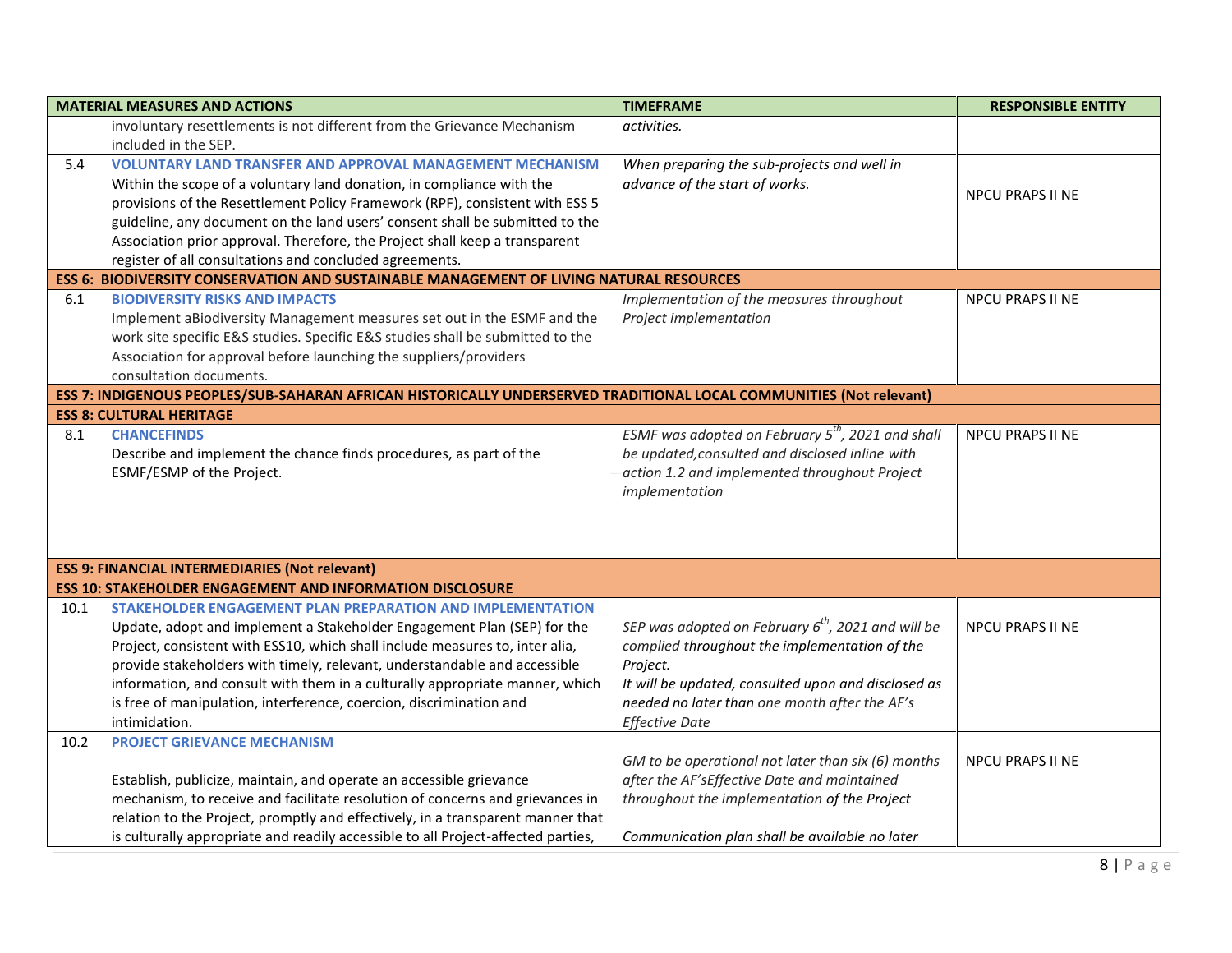|      | <b>MATERIAL MEASURES AND ACTIONS</b>                                                                                | <b>TIMEFRAME</b>                                              | <b>RESPONSIBLE ENTITY</b> |
|------|---------------------------------------------------------------------------------------------------------------------|---------------------------------------------------------------|---------------------------|
|      | involuntary resettlements is not different from the Grievance Mechanism                                             | activities.                                                   |                           |
|      | included in the SEP.                                                                                                |                                                               |                           |
| 5.4  | <b>VOLUNTARY LAND TRANSFER AND APPROVAL MANAGEMENT MECHANISM</b>                                                    | When preparing the sub-projects and well in                   |                           |
|      | Within the scope of a voluntary land donation, in compliance with the                                               | advance of the start of works.                                |                           |
|      | provisions of the Resettlement Policy Framework (RPF), consistent with ESS 5                                        |                                                               | <b>NPCU PRAPS II NE</b>   |
|      | guideline, any document on the land users' consent shall be submitted to the                                        |                                                               |                           |
|      | Association prior approval. Therefore, the Project shall keep a transparent                                         |                                                               |                           |
|      | register of all consultations and concluded agreements.                                                             |                                                               |                           |
|      | <b>ESS 6: BIODIVERSITY CONSERVATION AND SUSTAINABLE MANAGEMENT OF LIVING NATURAL RESOURCES</b>                      |                                                               |                           |
| 6.1  | <b>BIODIVERSITY RISKS AND IMPACTS</b>                                                                               | Implementation of the measures throughout                     | <b>NPCU PRAPS II NE</b>   |
|      | Implement aBiodiversity Management measures set out in the ESMF and the                                             | Project implementation                                        |                           |
|      | work site specific E&S studies. Specific E&S studies shall be submitted to the                                      |                                                               |                           |
|      | Association for approval before launching the suppliers/providers                                                   |                                                               |                           |
|      | consultation documents.                                                                                             |                                                               |                           |
|      | ESS 7: INDIGENOUS PEOPLES/SUB-SAHARAN AFRICAN HISTORICALLY UNDERSERVED TRADITIONAL LOCAL COMMUNITIES (Not relevant) |                                                               |                           |
|      | <b>ESS 8: CULTURAL HERITAGE</b>                                                                                     |                                                               |                           |
| 8.1  | <b>CHANCEFINDS</b>                                                                                                  | ESMF was adopted on February 5 <sup>th</sup> , 2021 and shall | NPCU PRAPS II NE          |
|      | Describe and implement the chance finds procedures, as part of the                                                  | be updated, consulted and disclosed inline with               |                           |
|      | ESMF/ESMP of the Project.                                                                                           | action 1.2 and implemented throughout Project                 |                           |
|      |                                                                                                                     | implementation                                                |                           |
|      |                                                                                                                     |                                                               |                           |
|      |                                                                                                                     |                                                               |                           |
|      |                                                                                                                     |                                                               |                           |
|      | <b>ESS 9: FINANCIAL INTERMEDIARIES (Not relevant)</b>                                                               |                                                               |                           |
|      | <b>ESS 10: STAKEHOLDER ENGAGEMENT AND INFORMATION DISCLOSURE</b>                                                    |                                                               |                           |
| 10.1 | STAKEHOLDER ENGAGEMENT PLAN PREPARATION AND IMPLEMENTATION                                                          |                                                               |                           |
|      | Update, adopt and implement a Stakeholder Engagement Plan (SEP) for the                                             | SEP was adopted on February $6^{th}$ , 2021 and will be       | <b>NPCU PRAPS II NE</b>   |
|      | Project, consistent with ESS10, which shall include measures to, inter alia,                                        | complied throughout the implementation of the                 |                           |
|      | provide stakeholders with timely, relevant, understandable and accessible                                           | Project.                                                      |                           |
|      | information, and consult with them in a culturally appropriate manner, which                                        | It will be updated, consulted upon and disclosed as           |                           |
|      | is free of manipulation, interference, coercion, discrimination and                                                 | needed no later than one month after the AF's                 |                           |
|      | intimidation.                                                                                                       | <b>Effective Date</b>                                         |                           |
| 10.2 | <b>PROJECT GRIEVANCE MECHANISM</b>                                                                                  |                                                               |                           |
|      |                                                                                                                     | GM to be operational not later than six (6) months            | <b>NPCU PRAPS II NE</b>   |
|      | Establish, publicize, maintain, and operate an accessible grievance                                                 | after the AF'sEffective Date and maintained                   |                           |
|      | mechanism, to receive and facilitate resolution of concerns and grievances in                                       | throughout the implementation of the Project                  |                           |
|      | relation to the Project, promptly and effectively, in a transparent manner that                                     |                                                               |                           |
|      | is culturally appropriate and readily accessible to all Project-affected parties,                                   | Communication plan shall be available no later                |                           |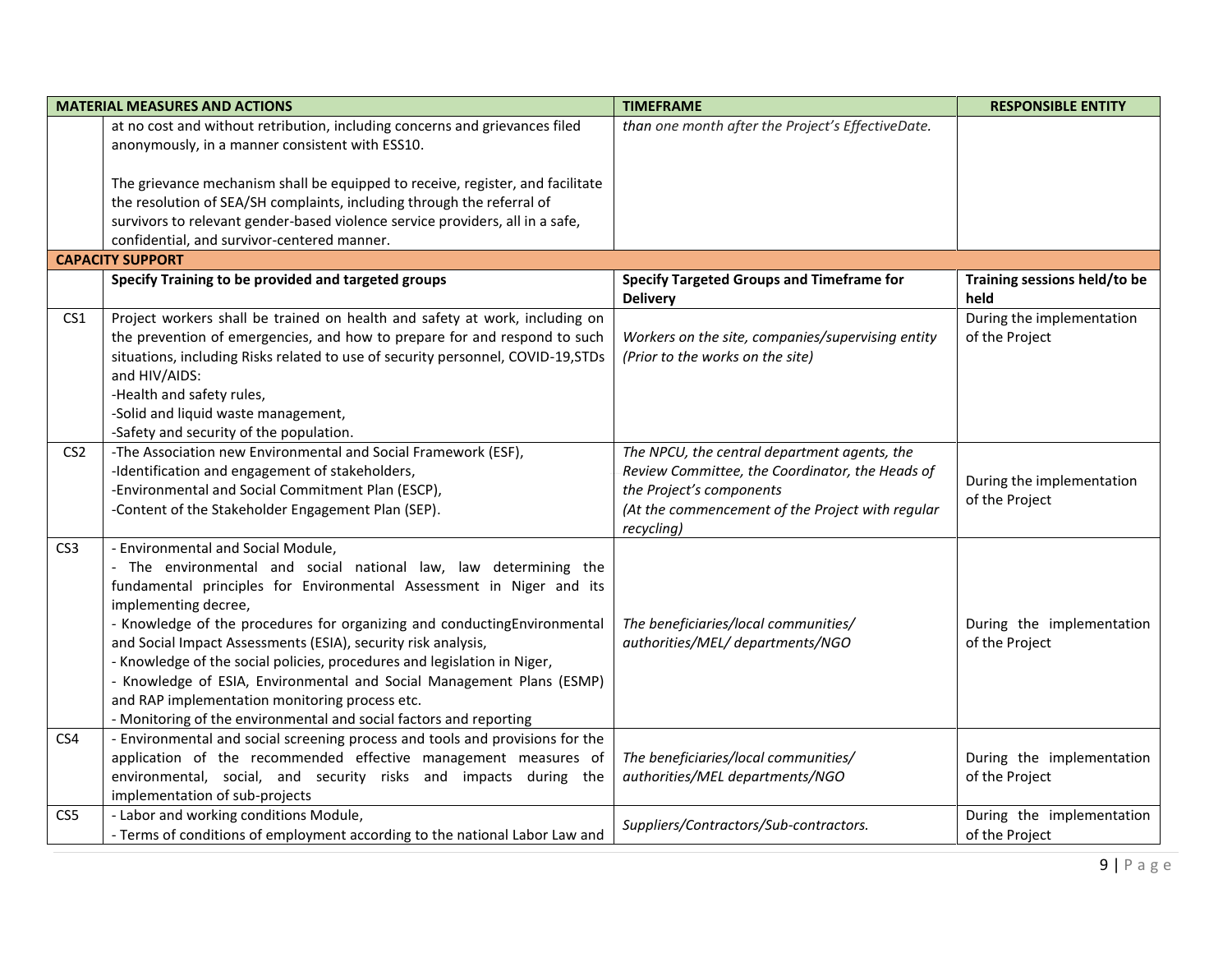|                 | <b>MATERIAL MEASURES AND ACTIONS</b>                                                                                    | <b>TIMEFRAME</b>                                                    | <b>RESPONSIBLE ENTITY</b>            |
|-----------------|-------------------------------------------------------------------------------------------------------------------------|---------------------------------------------------------------------|--------------------------------------|
|                 | at no cost and without retribution, including concerns and grievances filed                                             | than one month after the Project's EffectiveDate.                   |                                      |
|                 | anonymously, in a manner consistent with ESS10.                                                                         |                                                                     |                                      |
|                 | The grievance mechanism shall be equipped to receive, register, and facilitate                                          |                                                                     |                                      |
|                 | the resolution of SEA/SH complaints, including through the referral of                                                  |                                                                     |                                      |
|                 | survivors to relevant gender-based violence service providers, all in a safe,                                           |                                                                     |                                      |
|                 | confidential, and survivor-centered manner.                                                                             |                                                                     |                                      |
|                 | <b>CAPACITY SUPPORT</b>                                                                                                 |                                                                     |                                      |
|                 | Specify Training to be provided and targeted groups                                                                     | <b>Specify Targeted Groups and Timeframe for</b><br><b>Delivery</b> | Training sessions held/to be<br>held |
| CS <sub>1</sub> | Project workers shall be trained on health and safety at work, including on                                             |                                                                     | During the implementation            |
|                 | the prevention of emergencies, and how to prepare for and respond to such                                               | Workers on the site, companies/supervising entity                   | of the Project                       |
|                 | situations, including Risks related to use of security personnel, COVID-19, STDs<br>and HIV/AIDS:                       | (Prior to the works on the site)                                    |                                      |
|                 | -Health and safety rules,                                                                                               |                                                                     |                                      |
|                 | -Solid and liquid waste management,                                                                                     |                                                                     |                                      |
|                 | -Safety and security of the population.                                                                                 |                                                                     |                                      |
| CS <sub>2</sub> | -The Association new Environmental and Social Framework (ESF),                                                          | The NPCU, the central department agents, the                        |                                      |
|                 | -Identification and engagement of stakeholders,                                                                         | Review Committee, the Coordinator, the Heads of                     | During the implementation            |
|                 | -Environmental and Social Commitment Plan (ESCP),                                                                       | the Project's components                                            | of the Project                       |
|                 | -Content of the Stakeholder Engagement Plan (SEP).                                                                      | (At the commencement of the Project with regular                    |                                      |
|                 |                                                                                                                         | recycling)                                                          |                                      |
| CS <sub>3</sub> | - Environmental and Social Module,                                                                                      |                                                                     |                                      |
|                 | - The environmental and social national law, law determining the                                                        |                                                                     |                                      |
|                 | fundamental principles for Environmental Assessment in Niger and its                                                    |                                                                     |                                      |
|                 | implementing decree,                                                                                                    |                                                                     |                                      |
|                 | - Knowledge of the procedures for organizing and conductingEnvironmental                                                | The beneficiaries/local communities/                                | During the implementation            |
|                 | and Social Impact Assessments (ESIA), security risk analysis,                                                           | authorities/MEL/ departments/NGO                                    | of the Project                       |
|                 | - Knowledge of the social policies, procedures and legislation in Niger,                                                |                                                                     |                                      |
|                 | - Knowledge of ESIA, Environmental and Social Management Plans (ESMP)<br>and RAP implementation monitoring process etc. |                                                                     |                                      |
|                 | - Monitoring of the environmental and social factors and reporting                                                      |                                                                     |                                      |
| CS4             | - Environmental and social screening process and tools and provisions for the                                           |                                                                     |                                      |
|                 | application of the recommended effective management measures of                                                         | The beneficiaries/local communities/                                | During the implementation            |
|                 | environmental, social, and security risks and impacts during the                                                        | authorities/MEL departments/NGO                                     | of the Project                       |
|                 | implementation of sub-projects                                                                                          |                                                                     |                                      |
| CS5             | - Labor and working conditions Module,                                                                                  |                                                                     | During the implementation            |
|                 | - Terms of conditions of employment according to the national Labor Law and                                             | Suppliers/Contractors/Sub-contractors.                              | of the Project                       |